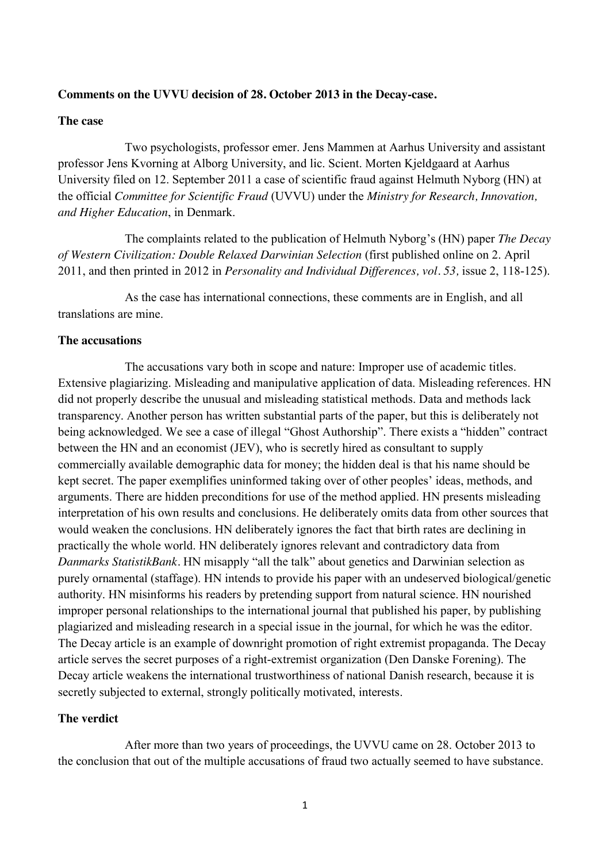#### **Comments on the UVVU decision of 28. October 2013 in the Decay-case.**

#### **The case**

Two psychologists, professor emer. Jens Mammen at Aarhus University and assistant professor Jens Kvorning at Alborg University, and lic. Scient. Morten Kjeldgaard at Aarhus University filed on 12. September 2011 a case of scientific fraud against Helmuth Nyborg (HN) at the official *Committee for Scientific Fraud* (UVVU) under the *Ministry for Research, Innovation, and Higher Education*, in Denmark.

The complaints related to the publication of Helmuth Nyborg's (HN) paper *The Decay of Western Civilization: Double Relaxed Darwinian Selection* (first published online on 2. April 2011, and then printed in 2012 in *Personality and Individual Differences, vol. 53,* issue 2, 118-125).

As the case has international connections, these comments are in English, and all translations are mine.

#### **The accusations**

The accusations vary both in scope and nature: Improper use of academic titles. Extensive plagiarizing. Misleading and manipulative application of data. Misleading references. HN did not properly describe the unusual and misleading statistical methods. Data and methods lack transparency. Another person has written substantial parts of the paper, but this is deliberately not being acknowledged. We see a case of illegal "Ghost Authorship". There exists a "hidden" contract between the HN and an economist (JEV), who is secretly hired as consultant to supply commercially available demographic data for money; the hidden deal is that his name should be kept secret. The paper exemplifies uninformed taking over of other peoples' ideas, methods, and arguments. There are hidden preconditions for use of the method applied. HN presents misleading interpretation of his own results and conclusions. He deliberately omits data from other sources that would weaken the conclusions. HN deliberately ignores the fact that birth rates are declining in practically the whole world. HN deliberately ignores relevant and contradictory data from *Danmarks StatistikBank.* HN misapply "all the talk" about genetics and Darwinian selection as purely ornamental (staffage). HN intends to provide his paper with an undeserved biological/genetic authority. HN misinforms his readers by pretending support from natural science. HN nourished improper personal relationships to the international journal that published his paper, by publishing plagiarized and misleading research in a special issue in the journal, for which he was the editor. The Decay article is an example of downright promotion of right extremist propaganda. The Decay article serves the secret purposes of a right-extremist organization (Den Danske Forening). The Decay article weakens the international trustworthiness of national Danish research, because it is secretly subjected to external, strongly politically motivated, interests.

## **The verdict**

After more than two years of proceedings, the UVVU came on 28. October 2013 to the conclusion that out of the multiple accusations of fraud two actually seemed to have substance.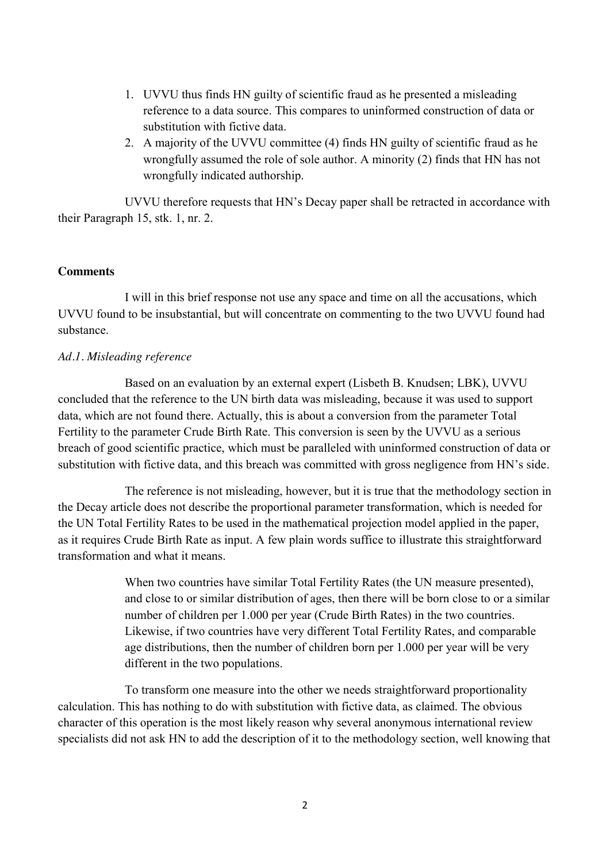- 1. UVVU thus finds HN guilty of scientific fraud as he presented a misleading reference to a data source. This compares to uninformed construction of data or substitution with fictive data.
- 2. A majority of the UVVU committee (4) finds HN guilty of scientific fraud as he wrongfully assumed the role of sole author. A minority (2) finds that HN has not wrongfully indicated authorship.

UVVU therefore requests that HN's Decay paper shall be retracted in accordance with their Paragraph 15, stk. 1, nr. 2.

### **Comments**

I will in this brief response not use any space and time on all the accusations, which UVVU found to be insubstantial, but will concentrate on commenting to the two UVVU found had substance.

## *Ad.1. Misleading reference*

Based on an evaluation by an external expert (Lisbeth B. Knudsen; LBK), UVVU concluded that the reference to the UN birth data was misleading, because it was used to support data, which are not found there. Actually, this is about a conversion from the parameter Total Fertility to the parameter Crude Birth Rate. This conversion is seen by the UVVU as a serious breach of good scientific practice, which must be paralleled with uninformed construction of data or substitution with fictive data, and this breach was committed with gross negligence from HN's side.

The reference is not misleading, however, but it is true that the methodology section in the Decay article does not describe the proportional parameter transformation, which is needed for the UN Total Fertility Rates to be used in the mathematical projection model applied in the paper, as it requires Crude Birth Rate as input. A few plain words suffice to illustrate this straightforward transformation and what it means.

> When two countries have similar Total Fertility Rates (the UN measure presented), and close to or similar distribution of ages, then there will be born close to or a similar number of children per 1.000 per year (Crude Birth Rates) in the two countries. Likewise, if two countries have very different Total Fertility Rates, and comparable age distributions, then the number of children born per 1.000 per year will be very different in the two populations.

To transform one measure into the other we needs straightforward proportionality calculation. This has nothing to do with substitution with fictive data, as claimed. The obvious character of this operation is the most likely reason why several anonymous international review specialists did not ask HN to add the description of it to the methodology section, well knowing that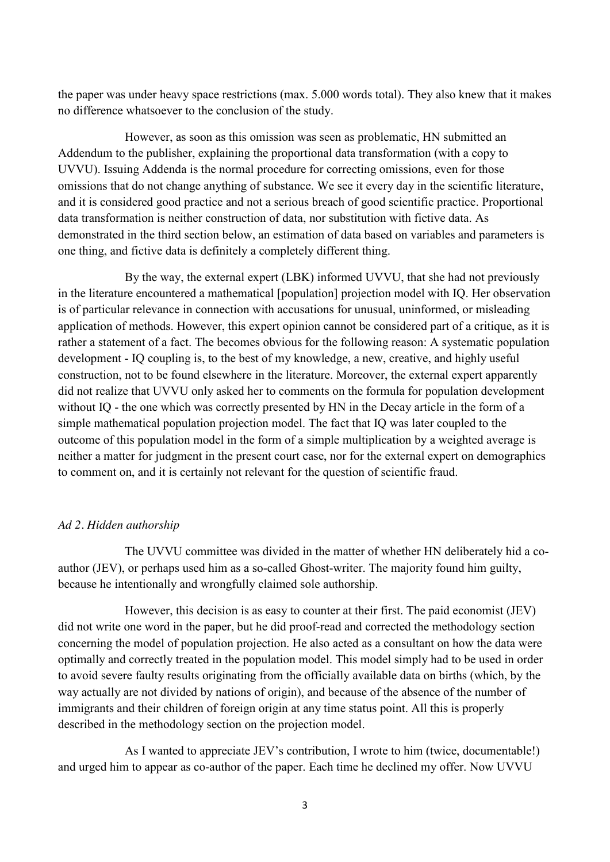the paper was under heavy space restrictions (max. 5.000 words total). They also knew that it makes no difference whatsoever to the conclusion of the study.

However, as soon as this omission was seen as problematic, HN submitted an Addendum to the publisher, explaining the proportional data transformation (with a copy to UVVU). Issuing Addenda is the normal procedure for correcting omissions, even for those omissions that do not change anything of substance. We see it every day in the scientific literature, and it is considered good practice and not a serious breach of good scientific practice. Proportional data transformation is neither construction of data, nor substitution with fictive data. As demonstrated in the third section below, an estimation of data based on variables and parameters is one thing, and fictive data is definitely a completely different thing.

By the way, the external expert (LBK) informed UVVU, that she had not previously in the literature encountered a mathematical [population] projection model with IQ. Her observation is of particular relevance in connection with accusations for unusual, uninformed, or misleading application of methods. However, this expert opinion cannot be considered part of a critique, as it is rather a statement of a fact. The becomes obvious for the following reason: A systematic population development - IQ coupling is, to the best of my knowledge, a new, creative, and highly useful construction, not to be found elsewhere in the literature. Moreover, the external expert apparently did not realize that UVVU only asked her to comments on the formula for population development without IQ - the one which was correctly presented by HN in the Decay article in the form of a simple mathematical population projection model. The fact that IQ was later coupled to the outcome of this population model in the form of a simple multiplication by a weighted average is neither a matter for judgment in the present court case, nor for the external expert on demographics to comment on, and it is certainly not relevant for the question of scientific fraud.

### *Ad 2. Hidden authorship*

The UVVU committee was divided in the matter of whether HN deliberately hid a coauthor (JEV), or perhaps used him as a so-called Ghost-writer. The majority found him guilty, because he intentionally and wrongfully claimed sole authorship.

However, this decision is as easy to counter at their first. The paid economist (JEV) did not write one word in the paper, but he did proof-read and corrected the methodology section concerning the model of population projection. He also acted as a consultant on how the data were optimally and correctly treated in the population model. This model simply had to be used in order to avoid severe faulty results originating from the officially available data on births (which, by the way actually are not divided by nations of origin), and because of the absence of the number of immigrants and their children of foreign origin at any time status point. All this is properly described in the methodology section on the projection model.

As I wanted to appreciate JEV's contribution, I wrote to him (twice, documentable!) and urged him to appear as co-author of the paper. Each time he declined my offer. Now UVVU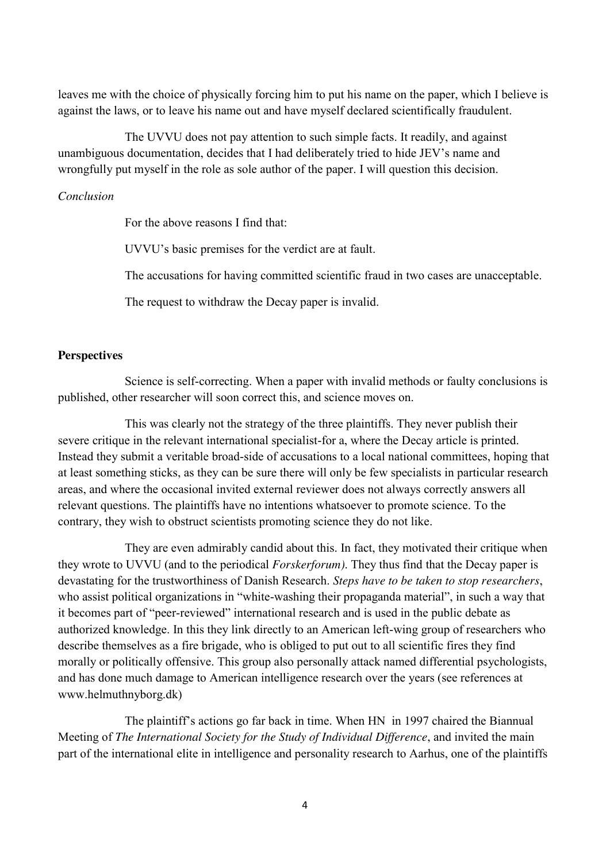leaves me with the choice of physically forcing him to put his name on the paper, which I believe is against the laws, or to leave his name out and have myself declared scientifically fraudulent.

The UVVU does not pay attention to such simple facts. It readily, and against unambiguous documentation, decides that I had deliberately tried to hide JEV's name and wrongfully put myself in the role as sole author of the paper. I will question this decision.

# *Conclusion*

For the above reasons I find that:

UVVU's basic premises for the verdict are at fault.

The accusations for having committed scientific fraud in two cases are unacceptable.

The request to withdraw the Decay paper is invalid.

## **Perspectives**

Science is self-correcting. When a paper with invalid methods or faulty conclusions is published, other researcher will soon correct this, and science moves on.

This was clearly not the strategy of the three plaintiffs. They never publish their severe critique in the relevant international specialist-for a, where the Decay article is printed. Instead they submit a veritable broad-side of accusations to a local national committees, hoping that at least something sticks, as they can be sure there will only be few specialists in particular research areas, and where the occasional invited external reviewer does not always correctly answers all relevant questions. The plaintiffs have no intentions whatsoever to promote science. To the contrary, they wish to obstruct scientists promoting science they do not like.

They are even admirably candid about this. In fact, they motivated their critique when they wrote to UVVU (and to the periodical *Forskerforum)*. They thus find that the Decay paper is devastating for the trustworthiness of Danish Research. *Steps have to be taken to stop researchers*, who assist political organizations in "white-washing their propaganda material", in such a way that it becomes part of "peer-reviewed" international research and is used in the public debate as authorized knowledge. In this they link directly to an American left-wing group of researchers who describe themselves as a fire brigade, who is obliged to put out to all scientific fires they find morally or politically offensive. This group also personally attack named differential psychologists, and has done much damage to American intelligence research over the years (see references at www.helmuthnyborg.dk)

The plaintiff's actions go far back in time. When HN in 1997 chaired the Biannual Meeting of *The International Society for the Study of Individual Difference*, and invited the main part of the international elite in intelligence and personality research to Aarhus, one of the plaintiffs